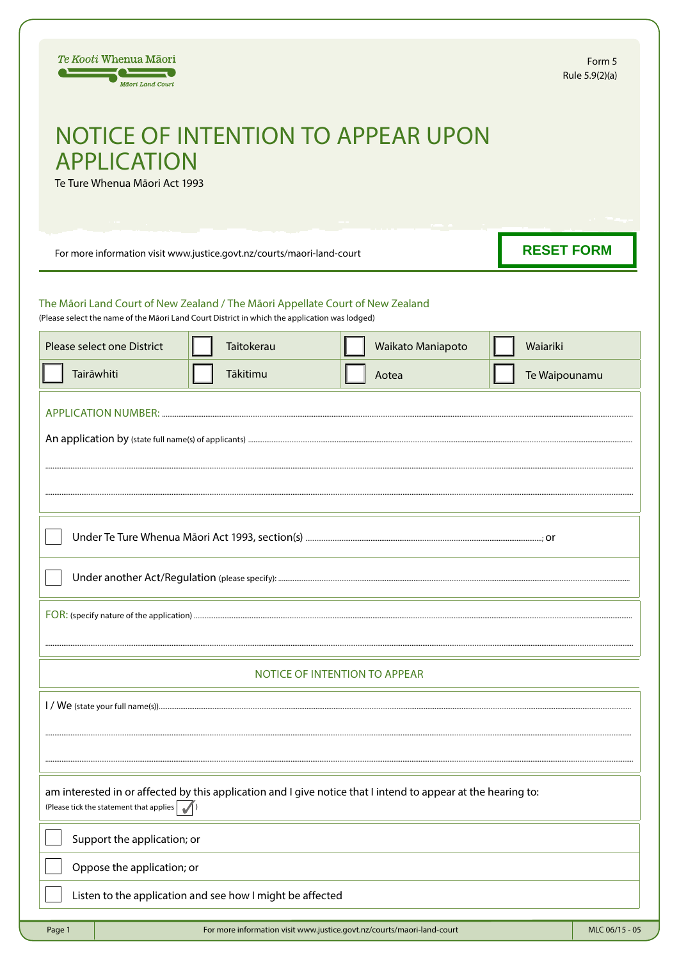| Te Kooti Whenua Māori<br>Māori Land Court                                                                                                                                       |            |                                                                        | Form 5<br>Rule 5.9(2)(a) |  |  |
|---------------------------------------------------------------------------------------------------------------------------------------------------------------------------------|------------|------------------------------------------------------------------------|--------------------------|--|--|
| <b>NOTICE OF INTENTION TO APPEAR UPON</b><br><b>APPLICATION</b><br>Te Ture Whenua Māori Act 1993                                                                                |            |                                                                        |                          |  |  |
| For more information visit www.justice.govt.nz/courts/maori-land-court                                                                                                          |            |                                                                        | <b>RESET FORM</b>        |  |  |
| The Māori Land Court of New Zealand / The Māori Appellate Court of New Zealand<br>(Please select the name of the Māori Land Court District in which the application was lodged) |            |                                                                        |                          |  |  |
| Please select one District                                                                                                                                                      | Taitokerau | Waikato Maniapoto                                                      | Waiariki                 |  |  |
| Tairāwhiti                                                                                                                                                                      | Tākitimu   | Aotea                                                                  | Te Waipounamu            |  |  |
| $\cdot$ nr                                                                                                                                                                      |            |                                                                        |                          |  |  |
| NOTICE OF INTENTION TO APPEAR                                                                                                                                                   |            |                                                                        |                          |  |  |
|                                                                                                                                                                                 |            |                                                                        |                          |  |  |
| am interested in or affected by this application and I give notice that I intend to appear at the hearing to:<br>(Please tick the statement that applies                        |            |                                                                        |                          |  |  |
| Support the application; or                                                                                                                                                     |            |                                                                        |                          |  |  |
| Oppose the application; or                                                                                                                                                      |            |                                                                        |                          |  |  |
| Listen to the application and see how I might be affected                                                                                                                       |            |                                                                        |                          |  |  |
| Page 1                                                                                                                                                                          |            | For more information visit www.justice.govt.nz/courts/maori-land-court | MLC 06/15 - 05           |  |  |